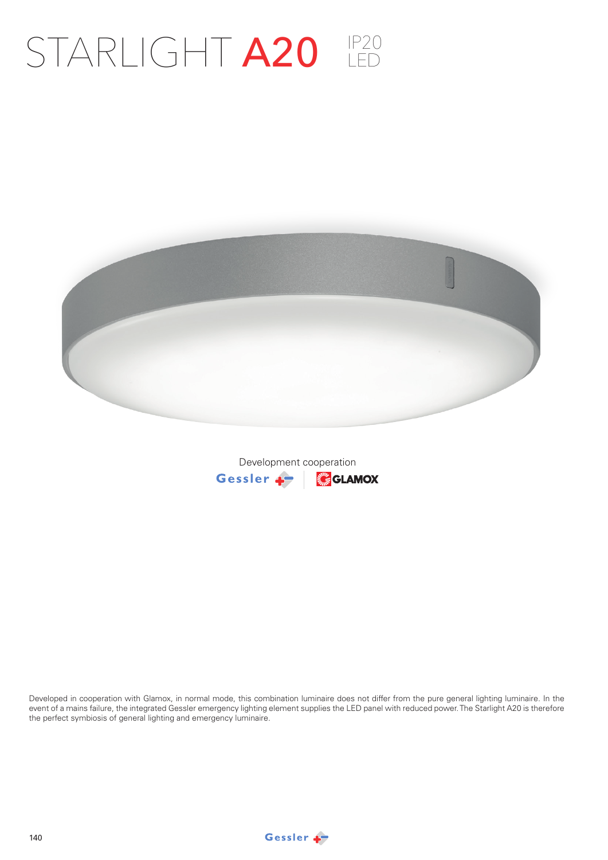## STARLIGHT **A20**



Development cooperationGessler + **SECTAMOX** 

Developed in cooperation with Glamox, in normal mode, this combination luminaire does not differ from the pure general lighting luminaire. In the event of a mains failure, the integrated Gessler emergency lighting element supplies the LED panel with reduced power. The Starlight A20 is therefore the perfect symbiosis of general lighting and emergency luminaire.